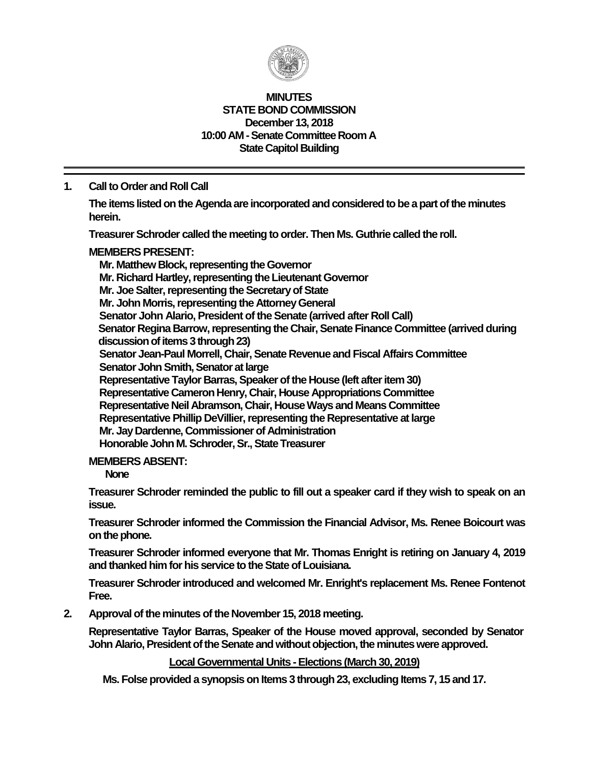

#### **MINUTES STATE BOND COMMISSION December 13, 2018 10:00 AM - Senate Committee Room A State Capitol Building**

# **1. Call to Order and Roll Call**

**The items listed on the Agenda are incorporated and considered to be a part of the minutes herein.**

**Treasurer Schroder called the meeting to order. Then Ms. Guthrie called the roll.**

#### **MEMBERS PRESENT:**

**Mr. Matthew Block, representing the Governor Mr. Richard Hartley, representing the Lieutenant Governor Mr. Joe Salter, representing the Secretary of State Mr. John Morris, representing the Attorney General Senator John Alario, President of the Senate (arrived after Roll Call) Senator Regina Barrow, representing the Chair, Senate Finance Committee (arrived during discussion of items 3 through 23) Senator Jean-Paul Morrell, Chair, Senate Revenue and Fiscal Affairs Committee Senator John Smith, Senator at large Representative Taylor Barras, Speaker of the House (left after item 30) Representative Cameron Henry, Chair, House Appropriations Committee Representative Neil Abramson, Chair, House Ways and Means Committee Representative Phillip DeVillier, representing the Representative at large Mr. Jay Dardenne, Commissioner of Administration Honorable John M. Schroder, Sr., State Treasurer**

#### **MEMBERS ABSENT:**

**None**

**Treasurer Schroder reminded the public to fill out a speaker card if they wish to speak on an issue.**

**Treasurer Schroder informed the Commission the Financial Advisor, Ms. Renee Boicourt was on the phone.** 

**Treasurer Schroder informed everyone that Mr. Thomas Enright is retiring on January 4, 2019** and thanked him for his service to the State of Louisiana.

**Treasurer Schroderintroduced and welcomed Mr. Enright's replacement Ms. Renee Fontenot Free.**

**2. Approval of the minutes of the November 15, 2018 meeting.**

**Representative Taylor Barras, Speaker of the House moved approval, seconded by Senator John Alario, President of the Senate and without objection, the minutes were approved.**

**Local Governmental Units - Elections (March 30, 2019)**

**Ms. Folse provided a synopsis on Items 3 through 23, excluding Items 7, 15 and 17.**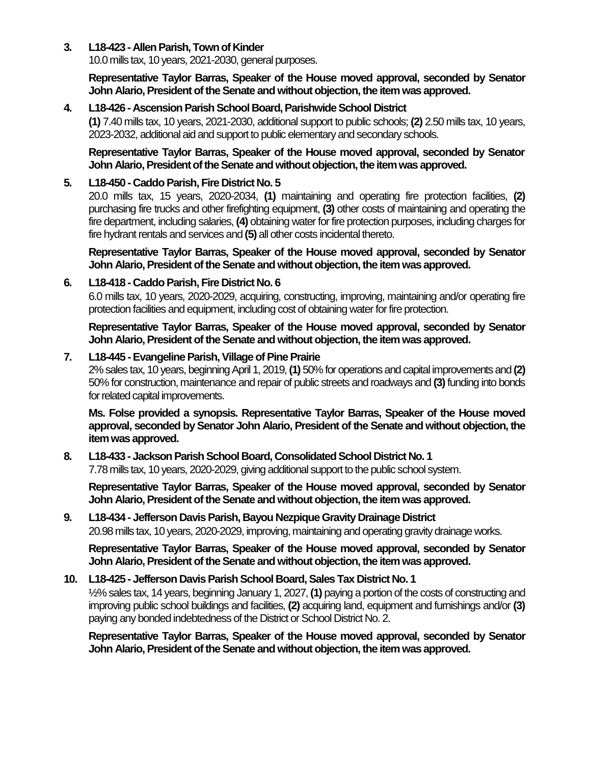## **3. L18-423 - Allen Parish, Town of Kinder**

10.0 mills tax, 10 years, 2021-2030, general purposes.

**Representative Taylor Barras, Speaker of the House moved approval, seconded by Senator John Alario, President of the Senate and without objection, the item was approved.**

## **4. L18-426 - Ascension Parish School Board, Parishwide School District**

**(1)** 7.40 mills tax, 10 years, 2021-2030, additional support to public schools; **(2)** 2.50 mills tax, 10 years, 2023-2032, additional aid and support to public elementary and secondary schools.

#### **Representative Taylor Barras, Speaker of the House moved approval, seconded by Senator John Alario, President of the Senate and without objection, the item was approved.**

## **5. L18-450 - Caddo Parish, Fire District No. 5**

20.0 mills tax, 15 years, 2020-2034, **(1)** maintaining and operating fire protection facilities, **(2)** purchasing fire trucks and other firefighting equipment, **(3)** other costs of maintaining and operating the fire department, including salaries, **(4)** obtaining water for fire protection purposes, including charges for fire hydrant rentals and services and **(5)** all other costs incidental thereto.

**Representative Taylor Barras, Speaker of the House moved approval, seconded by Senator John Alario, President of the Senate and without objection, the item was approved.**

# **6. L18-418 - Caddo Parish, Fire District No. 6**

6.0 mills tax, 10 years, 2020-2029, acquiring, constructing, improving, maintaining and/or operating fire protection facilities and equipment, including cost of obtaining water for fire protection.

**Representative Taylor Barras, Speaker of the House moved approval, seconded by Senator John Alario, President of the Senate and without objection, the item was approved.**

# **7. L18-445 -Evangeline Parish,Village of Pine Prairie**

2% sales tax, 10 years, beginning April 1, 2019, **(1)** 50% for operations and capital improvements and **(2)**  50% for construction, maintenance and repair of public streets and roadways and **(3)** funding into bonds for related capital improvements.

**Ms. Folse provided a synopsis. Representative Taylor Barras, Speaker of the House moved approval, seconded by Senator John Alario, President of the Senate and without objection, the item was approved.**

# **8. L18-433 - Jackson Parish School Board, Consolidated School District No. 1**

7.78 mills tax, 10 years, 2020-2029, giving additional support to the public school system.

**Representative Taylor Barras, Speaker of the House moved approval, seconded by Senator John Alario, President of the Senate and without objection, the item was approved.**

# **9. L18-434 - Jefferson Davis Parish, Bayou Nezpique Gravity Drainage District** 20.98 mills tax, 10 years, 2020-2029, improving, maintaining and operating gravity drainage works.

**Representative Taylor Barras, Speaker of the House moved approval, seconded by Senator John Alario, President of the Senate and without objection, the item was approved.**

## **10. L18-425 - Jefferson Davis Parish School Board, Sales Tax District No. 1**

½% sales tax, 14 years, beginning January 1, 2027, **(1)** paying a portion of the costs of constructing and improving public school buildings and facilities, **(2)** acquiring land, equipment and furnishings and/or **(3)** paying any bonded indebtedness of the District or School District No. 2.

**Representative Taylor Barras, Speaker of the House moved approval, seconded by Senator John Alario, President of the Senate and without objection, the item was approved.**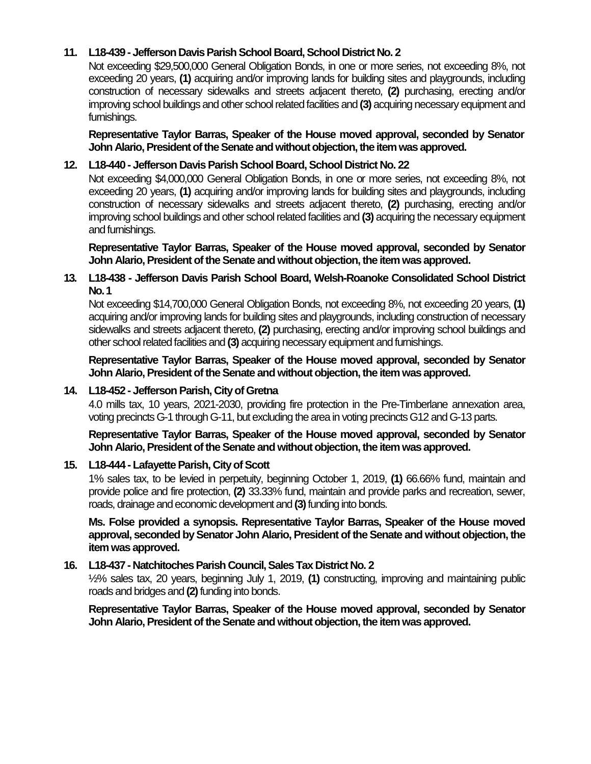# **11. L18-439 - Jefferson Davis Parish School Board, School District No. 2**

Not exceeding \$29,500,000 General Obligation Bonds, in one or more series, not exceeding 8%, not exceeding 20 years, **(1)** acquiring and/or improving lands for building sites and playgrounds, including construction of necessary sidewalks and streets adjacent thereto, **(2)** purchasing, erecting and/or improving school buildings and other school related facilities and **(3)** acquiring necessary equipment and furnishings.

**Representative Taylor Barras, Speaker of the House moved approval, seconded by Senator John Alario, President of the Senate and without objection, the item was approved.**

# **12. L18-440 - Jefferson Davis Parish School Board, School District No. 22**

Not exceeding \$4,000,000 General Obligation Bonds, in one or more series, not exceeding 8%, not exceeding 20 years, **(1)** acquiring and/or improving lands for building sites and playgrounds, including construction of necessary sidewalks and streets adjacent thereto, **(2)** purchasing, erecting and/or improving school buildings and other school related facilities and **(3)** acquiring the necessary equipment and furnishings.

**Representative Taylor Barras, Speaker of the House moved approval, seconded by Senator John Alario, President of the Senate and without objection, the item was approved.**

## **13. L18-438 - Jefferson Davis Parish School Board, Welsh-Roanoke Consolidated School District No. 1**

Not exceeding \$14,700,000 General Obligation Bonds, not exceeding 8%, not exceeding 20 years, **(1)** acquiring and/or improving lands for building sites and playgrounds, including construction of necessary sidewalks and streets adjacent thereto, **(2)** purchasing, erecting and/or improving school buildings and other school related facilities and **(3)** acquiring necessary equipment and furnishings.

**Representative Taylor Barras, Speaker of the House moved approval, seconded by Senator John Alario, President of the Senate and without objection, the item was approved.**

## **14. L18-452 - Jefferson Parish, City of Gretna**

4.0 mills tax, 10 years, 2021-2030, providing fire protection in the Pre-Timberlane annexation area, voting precincts G-1 through G-11, but excluding the area in voting precincts G12 and G-13 parts.

**Representative Taylor Barras, Speaker of the House moved approval, seconded by Senator John Alario, President of the Senate and without objection, the item was approved.**

## **15. L18-444 - Lafayette Parish, City of Scott**

1% sales tax, to be levied in perpetuity, beginning October 1, 2019, **(1)** 66.66% fund, maintain and provide police and fire protection, **(2)** 33.33% fund, maintain and provide parks and recreation, sewer, roads, drainage and economic development and **(3)**funding into bonds.

**Ms. Folse provided a synopsis. Representative Taylor Barras, Speaker of the House moved approval, seconded by Senator John Alario, President of the Senate and without objection, the item was approved.**

## **16. L18-437 - Natchitoches Parish Council, Sales Tax District No. 2**

½% sales tax, 20 years, beginning July 1, 2019, **(1)** constructing, improving and maintaining public roads and bridges and **(2)**funding into bonds.

**Representative Taylor Barras, Speaker of the House moved approval, seconded by Senator John Alario, President of the Senate and without objection, the item was approved.**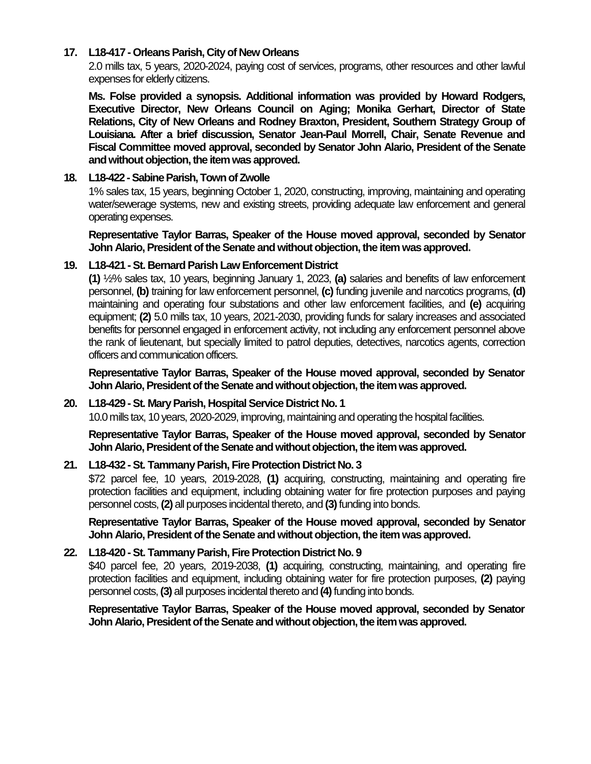## **17. L18-417 - Orleans Parish, City of New Orleans**

2.0 mills tax, 5 years, 2020-2024, paying cost of services, programs, other resources and other lawful expenses for elderly citizens.

**Ms. Folse provided a synopsis. Additional information was provided by Howard Rodgers, Executive Director, New Orleans Council on Aging; Monika Gerhart, Director of State Relations, City of New Orleans and Rodney Braxton, President, Southern Strategy Group of Louisiana. After a brief discussion, Senator Jean-Paul Morrell, Chair, Senate Revenue and Fiscal Committee moved approval, seconded by Senator John Alario, President of the Senate**  and without objection, the item was approved.

## **18. L18-422 -Sabine Parish, Town of Zwolle**

1% sales tax, 15 years, beginning October 1, 2020, constructing, improving, maintaining and operating water/sewerage systems, new and existing streets, providing adequate law enforcement and general operating expenses.

**Representative Taylor Barras, Speaker of the House moved approval, seconded by Senator John Alario, President of the Senate and without objection, the item was approved.**

# **19. L18-421 -St. Bernard Parish Law Enforcement District**

**(1)** ½% sales tax, 10 years, beginning January 1, 2023, **(a)** salaries and benefits of law enforcement personnel, **(b)** training for law enforcement personnel, **(c)** funding juvenile and narcotics programs, **(d)**  maintaining and operating four substations and other law enforcement facilities, and **(e)** acquiring equipment; **(2)** 5.0 mills tax, 10 years, 2021-2030, providing funds for salary increases and associated benefits for personnel engaged in enforcement activity, not including any enforcement personnel above the rank of lieutenant, but specially limited to patrol deputies, detectives, narcotics agents, correction officers and communication officers.

**Representative Taylor Barras, Speaker of the House moved approval, seconded by Senator John Alario, President of the Senate and without objection, the item was approved.**

## **20. L18-429 -St. Mary Parish, Hospital Service District No. 1**

10.0 mills tax, 10 years, 2020-2029, improving, maintaining and operating the hospital facilities.

**Representative Taylor Barras, Speaker of the House moved approval, seconded by Senator John Alario, President of the Senate and without objection, the item was approved.**

# **21. L18-432 -St. Tammany Parish, Fire Protection District No. 3**

\$72 parcel fee, 10 years, 2019-2028, **(1)** acquiring, constructing, maintaining and operating fire protection facilities and equipment, including obtaining water for fire protection purposes and paying personnel costs, **(2)** all purposes incidental thereto, and **(3)**funding into bonds.

**Representative Taylor Barras, Speaker of the House moved approval, seconded by Senator John Alario, President of the Senate and without objection, the item was approved.**

# **22. L18-420 -St. Tammany Parish, Fire Protection District No. 9**

\$40 parcel fee, 20 years, 2019-2038, **(1)** acquiring, constructing, maintaining, and operating fire protection facilities and equipment, including obtaining water for fire protection purposes, **(2)** paying personnel costs, **(3)** all purposes incidental thereto and **(4)**funding into bonds.

**Representative Taylor Barras, Speaker of the House moved approval, seconded by Senator John Alario, President of the Senate and without objection, the item was approved.**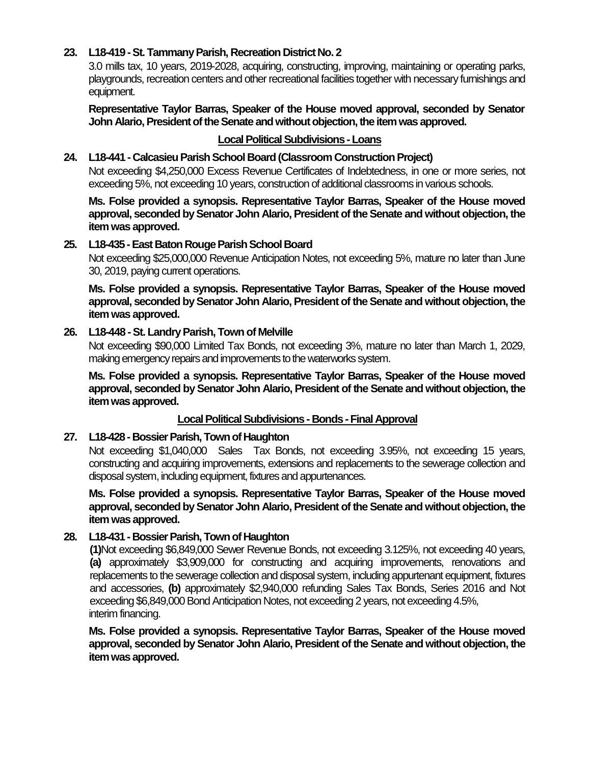# **23. L18-419 -St. Tammany Parish, Recreation District No. 2**

3.0 mills tax, 10 years, 2019-2028, acquiring, constructing, improving, maintaining or operating parks, playgrounds, recreation centers and other recreational facilities together with necessary furnishings and equipment.

**Representative Taylor Barras, Speaker of the House moved approval, seconded by Senator John Alario, President of the Senate and without objection, the item was approved.**

## **Local Political Subdivisions -Loans**

#### **24. L18-441 - Calcasieu Parish School Board (Classroom Construction Project)**

Not exceeding \$4,250,000 Excess Revenue Certificates of Indebtedness, in one or more series, not exceeding 5%, not exceeding 10 years, construction of additional classrooms in various schools.

**Ms. Folse provided a synopsis. Representative Taylor Barras, Speaker of the House moved approval, seconded by Senator John Alario, President of the Senate and without objection, the item was approved.**

#### **25. L18-435 -East Baton Rouge Parish School Board**

Not exceeding \$25,000,000 Revenue Anticipation Notes, not exceeding 5%, mature no later than June 30, 2019, paying current operations.

**Ms. Folse provided a synopsis. Representative Taylor Barras, Speaker of the House moved approval, seconded by Senator John Alario, President of the Senate and without objection, the item was approved.**

#### **26. L18-448 -St. Landry Parish, Town of Melville**

Not exceeding \$90,000 Limited Tax Bonds, not exceeding 3%, mature no later than March 1, 2029, making emergency repairs and improvements to the waterworks system.

**Ms. Folse provided a synopsis. Representative Taylor Barras, Speaker of the House moved approval, seconded by Senator John Alario, President of the Senate and without objection, the item was approved.**

#### **Local Political Subdivisions - Bonds -Final Approval**

#### **27. L18-428 - Bossier Parish, Town of Haughton**

Not exceeding \$1,040,000 Sales Tax Bonds, not exceeding 3.95%, not exceeding 15 years, constructing and acquiring improvements, extensions and replacements to the sewerage collection and disposal system, including equipment, fixtures and appurtenances.

**Ms. Folse provided a synopsis. Representative Taylor Barras, Speaker of the House moved approval, seconded by Senator John Alario, President of the Senate and without objection, the item was approved.**

## **28. L18-431 - Bossier Parish, Town of Haughton**

**(1)**Not exceeding \$6,849,000 Sewer Revenue Bonds, not exceeding 3.125%, not exceeding 40 years, **(a)** approximately \$3,909,000 for constructing and acquiring improvements, renovations and replacements to the sewerage collection and disposal system, including appurtenant equipment, fixtures and accessories, **(b)** approximately \$2,940,000 refunding Sales Tax Bonds, Series 2016 and Not exceeding \$6,849,000 Bond Anticipation Notes, not exceeding 2 years, not exceeding 4.5%, interim financing.

**Ms. Folse provided a synopsis. Representative Taylor Barras, Speaker of the House moved approval, seconded by Senator John Alario, President of the Senate and without objection, the item was approved.**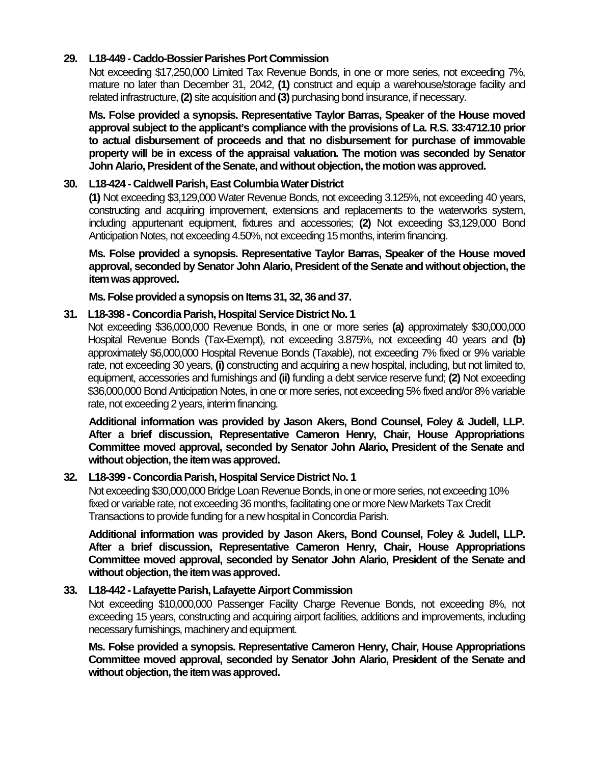# **29. L18-449 - Caddo-Bossier Parishes Port Commission**

Not exceeding \$17,250,000 Limited Tax Revenue Bonds, in one or more series, not exceeding 7%, mature no later than December 31, 2042, **(1)** construct and equip a warehouse/storage facility and related infrastructure, **(2)** site acquisition and **(3)** purchasing bond insurance, if necessary.

**Ms. Folse provided a synopsis. Representative Taylor Barras, Speaker of the House moved approval subject to the applicant's compliance with the provisions of La. R.S. 33:4712.10 prior to actual disbursement of proceeds and that no disbursement for purchase of immovable property will be in excess of the appraisal valuation. The motion was seconded by Senator John Alario, President of the Senate, and without objection, the motion was approved.**

## **30. L18-424 - Caldwell Parish, East Columbia Water District**

**(1)** Not exceeding \$3,129,000 Water Revenue Bonds, not exceeding 3.125%, not exceeding 40 years, constructing and acquiring improvement, extensions and replacements to the waterworks system, including appurtenant equipment, fixtures and accessories; **(2)** Not exceeding \$3,129,000 Bond Anticipation Notes, not exceeding 4.50%, not exceeding 15 months, interim financing.

**Ms. Folse provided a synopsis. Representative Taylor Barras, Speaker of the House moved approval, seconded by Senator John Alario, President of the Senate and without objection, the item was approved.**

**Ms. Folse provided a synopsis on Items 31, 32, 36 and 37.**

## **31. L18-398 - Concordia Parish, Hospital Service District No. 1**

Not exceeding \$36,000,000 Revenue Bonds, in one or more series **(a)** approximately \$30,000,000 Hospital Revenue Bonds (Tax-Exempt), not exceeding 3.875%, not exceeding 40 years and **(b)** approximately \$6,000,000 Hospital Revenue Bonds (Taxable), not exceeding 7% fixed or 9% variable rate, not exceeding 30 years, **(i)** constructing and acquiring a new hospital, including, but not limited to, equipment, accessories and furnishings and **(ii)** funding a debt service reserve fund; **(2)** Not exceeding \$36,000,000 Bond Anticipation Notes, in one or more series, not exceeding 5% fixed and/or 8% variable rate, not exceeding 2 years, interim financing.

**Additional information was provided by Jason Akers, Bond Counsel, Foley & Judell, LLP. After a brief discussion, Representative Cameron Henry, Chair, House Appropriations Committee moved approval, seconded by Senator John Alario, President of the Senate and without objection, the item was approved.**

## **32. L18-399 - Concordia Parish, Hospital Service District No. 1**

Not exceeding \$30,000,000 Bridge Loan Revenue Bonds, in one or more series, not exceeding 10% fixed or variable rate, not exceeding 36 months, facilitating one or more New Markets Tax Credit Transactions to provide funding for a new hospital in Concordia Parish.

**Additional information was provided by Jason Akers, Bond Counsel, Foley & Judell, LLP. After a brief discussion, Representative Cameron Henry, Chair, House Appropriations Committee moved approval, seconded by Senator John Alario, President of the Senate and**  without objection, the item was approved.

## **33. L18-442 - Lafayette Parish, Lafayette Airport Commission**

Not exceeding \$10,000,000 Passenger Facility Charge Revenue Bonds, not exceeding 8%, not exceeding 15 years, constructing and acquiring airport facilities, additions and improvements, including necessary furnishings, machinery and equipment.

**Ms. Folse provided a synopsis. Representative Cameron Henry, Chair, House Appropriations Committee moved approval, seconded by Senator John Alario, President of the Senate and**  without objection, the item was approved.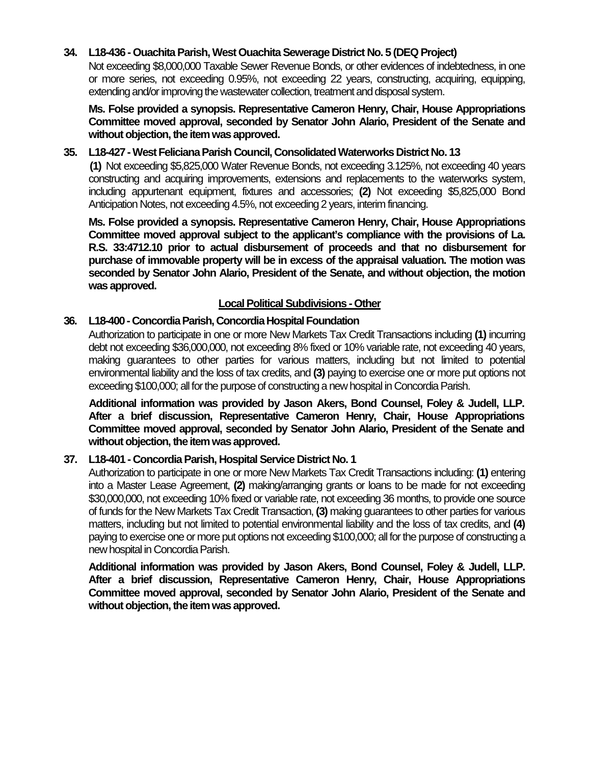# **34. L18-436 - Ouachita Parish, West Ouachita Sewerage District No. 5 (DEQ Project)**

Not exceeding \$8,000,000 Taxable Sewer Revenue Bonds, or other evidences of indebtedness, in one or more series, not exceeding 0.95%, not exceeding 22 years, constructing, acquiring, equipping, extending and/or improving the wastewater collection, treatment and disposal system.

**Ms. Folse provided a synopsis. Representative Cameron Henry, Chair, House Appropriations Committee moved approval, seconded by Senator John Alario, President of the Senate and**  without objection, the item was approved.

## **35. L18-427 -West Feliciana Parish Council, Consolidated Waterworks District No. 13**

**(1)** Not exceeding \$5,825,000 Water Revenue Bonds, not exceeding 3.125%, not exceeding 40 years constructing and acquiring improvements, extensions and replacements to the waterworks system, including appurtenant equipment, fixtures and accessories; **(2)** Not exceeding \$5,825,000 Bond Anticipation Notes, not exceeding 4.5%, not exceeding 2 years, interim financing.

**Ms. Folse provided a synopsis. Representative Cameron Henry, Chair, House Appropriations Committee moved approval subject to the applicant's compliance with the provisions of La. R.S. 33:4712.10 prior to actual disbursement of proceeds and that no disbursement for purchase of immovable property will be in excess of the appraisal valuation. The motion was seconded by Senator John Alario, President of the Senate, and without objection, the motion was approved.**

## **Local Political Subdivisions -Other**

# **36. L18-400 - Concordia Parish, Concordia Hospital Foundation**

Authorization to participate in one or more New Markets Tax Credit Transactions including **(1)** incurring debt not exceeding \$36,000,000, not exceeding 8% fixed or 10% variable rate, not exceeding 40 years, making guarantees to other parties for various matters, including but not limited to potential environmental liability and the loss of tax credits, and **(3)** paying to exercise one or more put options not exceeding \$100,000; all for the purpose of constructing a new hospital in Concordia Parish.

**Additional information was provided by Jason Akers, Bond Counsel, Foley & Judell, LLP. After a brief discussion, Representative Cameron Henry, Chair, House Appropriations Committee moved approval, seconded by Senator John Alario, President of the Senate and without objection, the item was approved.**

## **37. L18-401 - Concordia Parish, Hospital Service District No. 1**

Authorization to participate in one or more New Markets Tax Credit Transactions including: **(1)** entering into a Master Lease Agreement, **(2)** making/arranging grants or loans to be made for not exceeding \$30,000,000, not exceeding 10% fixed or variable rate, not exceeding 36 months, to provide one source of funds for the New Markets Tax Credit Transaction, **(3)** making guarantees to other parties for various matters, including but not limited to potential environmental liability and the loss of tax credits, and **(4)** paying to exercise one or more put options not exceeding \$100,000; all for the purpose of constructing a new hospital in Concordia Parish.

**Additional information was provided by Jason Akers, Bond Counsel, Foley & Judell, LLP. After a brief discussion, Representative Cameron Henry, Chair, House Appropriations Committee moved approval, seconded by Senator John Alario, President of the Senate and**  without objection, the item was approved.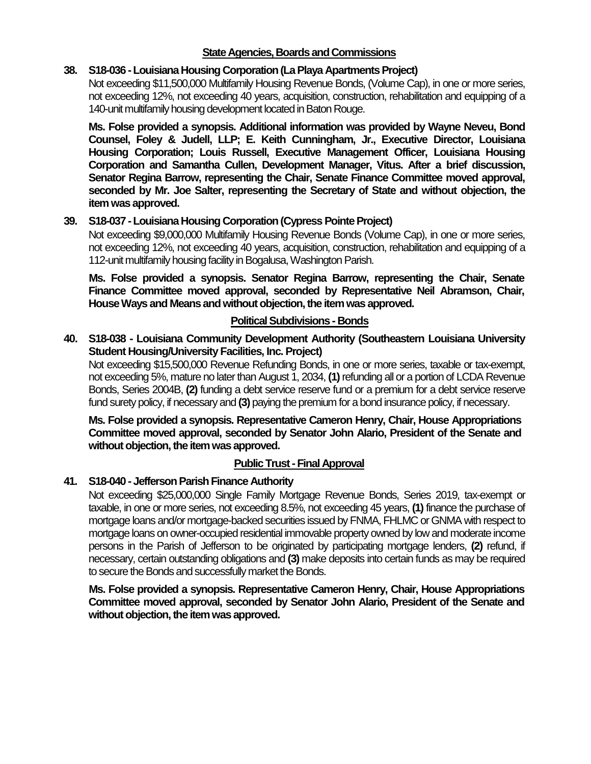# **State Agencies, Boards and Commissions**

## **38. S18-036 -Louisiana Housing Corporation (La Playa Apartments Project)**

Not exceeding \$11,500,000 Multifamily Housing Revenue Bonds, (Volume Cap), in one or more series, not exceeding 12%, not exceeding 40 years, acquisition, construction, rehabilitation and equipping of a 140-unit multifamily housing development located in Baton Rouge.

**Ms. Folse provided a synopsis. Additional information was provided by Wayne Neveu, Bond Counsel, Foley & Judell, LLP; E. Keith Cunningham, Jr., Executive Director, Louisiana Housing Corporation; Louis Russell, Executive Management Officer, Louisiana Housing Corporation and Samantha Cullen, Development Manager, Vitus. After a brief discussion, Senator Regina Barrow, representing the Chair, Senate Finance Committee moved approval, seconded by Mr. Joe Salter, representing the Secretary of State and without objection, the item was approved.**

# **39. S18-037 -Louisiana Housing Corporation (Cypress Pointe Project)**

Not exceeding \$9,000,000 Multifamily Housing Revenue Bonds (Volume Cap), in one or more series, not exceeding 12%, not exceeding 40 years, acquisition, construction, rehabilitation and equipping of a 112-unit multifamily housing facility in Bogalusa, Washington Parish.

**Ms. Folse provided a synopsis. Senator Regina Barrow, representing the Chair, Senate Finance Committee moved approval, seconded by Representative Neil Abramson, Chair, House Ways and Means and without objection, the item was approved.**

# **Political Subdivisions - Bonds**

# **40. S18-038 - Louisiana Community Development Authority (Southeastern Louisiana University Student Housing/University Facilities, Inc. Project)**

Not exceeding \$15,500,000 Revenue Refunding Bonds, in one or more series, taxable or tax-exempt, not exceeding 5%, mature no later than August 1, 2034, **(1)**refunding all or a portion of LCDA Revenue Bonds, Series 2004B, **(2)** funding a debt service reserve fund or a premium for a debt service reserve fund surety policy, if necessary and **(3)** paying the premium for a bond insurance policy, if necessary.

**Ms. Folse provided a synopsis. Representative Cameron Henry, Chair, House Appropriations Committee moved approval, seconded by Senator John Alario, President of the Senate and without objection, the item was approved.**

## **Public Trust - Final Approval**

# **41. S18-040 - Jefferson Parish Finance Authority**

Not exceeding \$25,000,000 Single Family Mortgage Revenue Bonds, Series 2019, tax-exempt or taxable, in one or more series, not exceeding 8.5%, not exceeding 45 years, **(1)** finance the purchase of mortgage loans and/or mortgage-backed securities issued by FNMA, FHLMC or GNMA with respect to mortgage loans on owner-occupied residential immovable property owned by low and moderate income persons in the Parish of Jefferson to be originated by participating mortgage lenders, **(2)** refund, if necessary, certain outstanding obligations and **(3)** make deposits into certain funds as may be required to secure the Bonds and successfully market the Bonds.

**Ms. Folse provided a synopsis. Representative Cameron Henry, Chair, House Appropriations Committee moved approval, seconded by Senator John Alario, President of the Senate and without objection, the item was approved.**